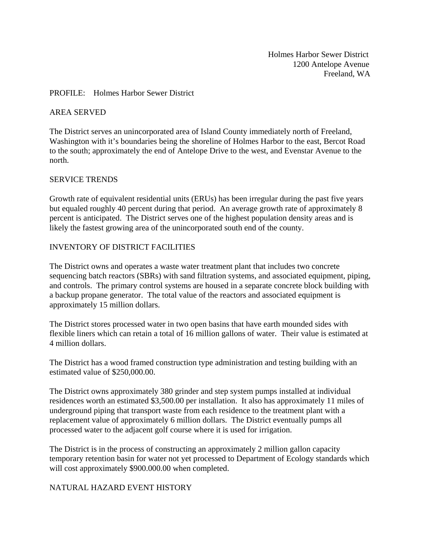Holmes Harbor Sewer District 1200 Antelope Avenue Freeland, WA

#### PROFILE: Holmes Harbor Sewer District

#### AREA SERVED

The District serves an unincorporated area of Island County immediately north of Freeland, Washington with it's boundaries being the shoreline of Holmes Harbor to the east, Bercot Road to the south; approximately the end of Antelope Drive to the west, and Evenstar Avenue to the north.

#### SERVICE TRENDS

Growth rate of equivalent residential units (ERUs) has been irregular during the past five years but equaled roughly 40 percent during that period. An average growth rate of approximately 8 percent is anticipated. The District serves one of the highest population density areas and is likely the fastest growing area of the unincorporated south end of the county.

#### INVENTORY OF DISTRICT FACILITIES

The District owns and operates a waste water treatment plant that includes two concrete sequencing batch reactors (SBRs) with sand filtration systems, and associated equipment, piping, and controls. The primary control systems are housed in a separate concrete block building with a backup propane generator. The total value of the reactors and associated equipment is approximately 15 million dollars.

The District stores processed water in two open basins that have earth mounded sides with flexible liners which can retain a total of 16 million gallons of water. Their value is estimated at 4 million dollars.

The District has a wood framed construction type administration and testing building with an estimated value of \$250,000.00.

The District owns approximately 380 grinder and step system pumps installed at individual residences worth an estimated \$3,500.00 per installation. It also has approximately 11 miles of underground piping that transport waste from each residence to the treatment plant with a replacement value of approximately 6 million dollars. The District eventually pumps all processed water to the adjacent golf course where it is used for irrigation.

The District is in the process of constructing an approximately 2 million gallon capacity temporary retention basin for water not yet processed to Department of Ecology standards which will cost approximately \$900.000.00 when completed.

### NATURAL HAZARD EVENT HISTORY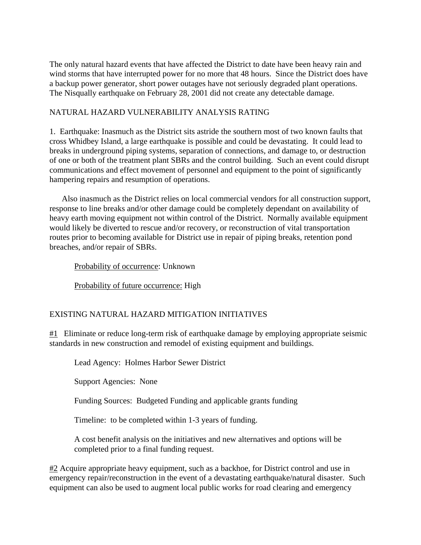The only natural hazard events that have affected the District to date have been heavy rain and wind storms that have interrupted power for no more that 48 hours. Since the District does have a backup power generator, short power outages have not seriously degraded plant operations. The Nisqually earthquake on February 28, 2001 did not create any detectable damage.

## NATURAL HAZARD VULNERABILITY ANALYSIS RATING

1. Earthquake: Inasmuch as the District sits astride the southern most of two known faults that cross Whidbey Island, a large earthquake is possible and could be devastating. It could lead to breaks in underground piping systems, separation of connections, and damage to, or destruction of one or both of the treatment plant SBRs and the control building. Such an event could disrupt communications and effect movement of personnel and equipment to the point of significantly hampering repairs and resumption of operations.

 Also inasmuch as the District relies on local commercial vendors for all construction support, response to line breaks and/or other damage could be completely dependant on availability of heavy earth moving equipment not within control of the District. Normally available equipment would likely be diverted to rescue and/or recovery, or reconstruction of vital transportation routes prior to becoming available for District use in repair of piping breaks, retention pond breaches, and/or repair of SBRs.

Probability of occurrence: Unknown

Probability of future occurrence: High

# EXISTING NATURAL HAZARD MITIGATION INITIATIVES

#1 Eliminate or reduce long-term risk of earthquake damage by employing appropriate seismic standards in new construction and remodel of existing equipment and buildings.

Lead Agency: Holmes Harbor Sewer District

Support Agencies: None

Funding Sources: Budgeted Funding and applicable grants funding

Timeline: to be completed within 1-3 years of funding.

A cost benefit analysis on the initiatives and new alternatives and options will be completed prior to a final funding request.

 $#2$  Acquire appropriate heavy equipment, such as a backhoe, for District control and use in emergency repair/reconstruction in the event of a devastating earthquake/natural disaster. Such equipment can also be used to augment local public works for road clearing and emergency